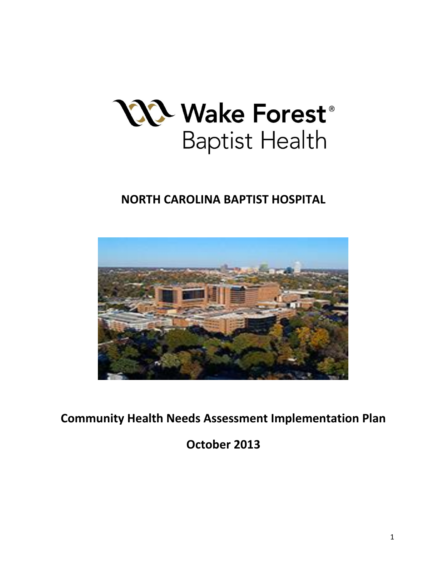

# **NORTH CAROLINA BAPTIST HOSPITAL**



**Community Health Needs Assessment Implementation Plan**

**October 2013**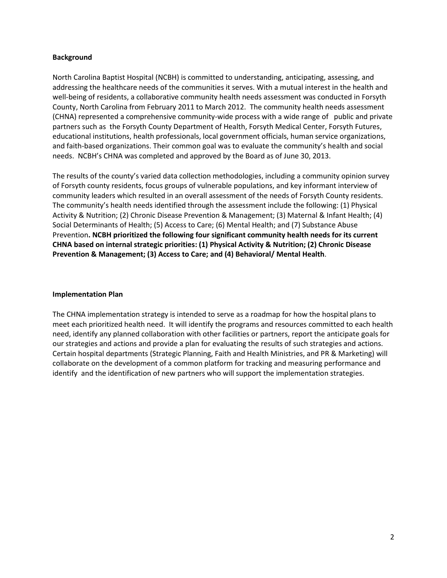## **Background**

North Carolina Baptist Hospital (NCBH) is committed to understanding, anticipating, assessing, and addressing the healthcare needs of the communities it serves. With a mutual interest in the health and well-being of residents, a collaborative community health needs assessment was conducted in Forsyth County, North Carolina from February 2011 to March 2012. The community health needs assessment (CHNA) represented a comprehensive community-wide process with a wide range of public and private partners such as the Forsyth County Department of Health, Forsyth Medical Center, Forsyth Futures, educational institutions, health professionals, local government officials, human service organizations, and faith-based organizations. Their common goal was to evaluate the community's health and social needs. NCBH's CHNA was completed and approved by the Board as of June 30, 2013.

The results of the county's varied data collection methodologies, including a community opinion survey of Forsyth county residents, focus groups of vulnerable populations, and key informant interview of community leaders which resulted in an overall assessment of the needs of Forsyth County residents. The community's health needs identified through the assessment include the following: (1) Physical Activity & Nutrition; (2) Chronic Disease Prevention & Management; (3) Maternal & Infant Health; (4) Social Determinants of Health; (5) Access to Care; (6) Mental Health; and (7) Substance Abuse Prevention**. NCBH prioritized the following four significant community health needs for its current CHNA based on internal strategic priorities: (1) Physical Activity & Nutrition; (2) Chronic Disease Prevention & Management; (3) Access to Care; and (4) Behavioral/ Mental Health**.

## **Implementation Plan**

The CHNA implementation strategy is intended to serve as a roadmap for how the hospital plans to meet each prioritized health need. It will identify the programs and resources committed to each health need, identify any planned collaboration with other facilities or partners, report the anticipate goals for our strategies and actions and provide a plan for evaluating the results of such strategies and actions. Certain hospital departments (Strategic Planning, Faith and Health Ministries, and PR & Marketing) will collaborate on the development of a common platform for tracking and measuring performance and identify and the identification of new partners who will support the implementation strategies.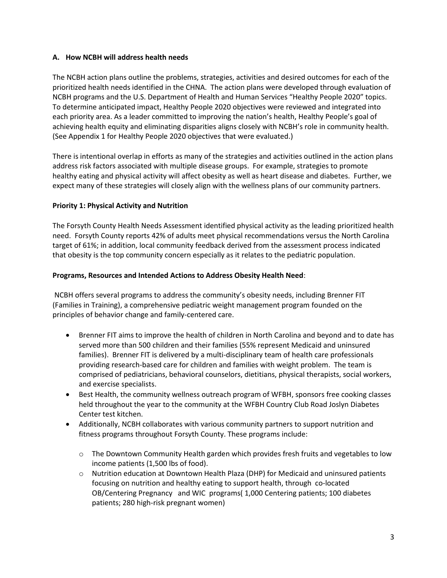# **A. How NCBH will address health needs**

The NCBH action plans outline the problems, strategies, activities and desired outcomes for each of the prioritized health needs identified in the CHNA. The action plans were developed through evaluation of NCBH programs and the U.S. Department of Health and Human Services "Healthy People 2020" topics. To determine anticipated impact, Healthy People 2020 objectives were reviewed and integrated into each priority area. As a leader committed to improving the nation's health, Healthy People's goal of achieving health equity and eliminating disparities aligns closely with NCBH's role in community health. (See Appendix 1 for Healthy People 2020 objectives that were evaluated.)

There is intentional overlap in efforts as many of the strategies and activities outlined in the action plans address risk factors associated with multiple disease groups. For example, strategies to promote healthy eating and physical activity will affect obesity as well as heart disease and diabetes. Further, we expect many of these strategies will closely align with the wellness plans of our community partners.

# **Priority 1: Physical Activity and Nutrition**

The Forsyth County Health Needs Assessment identified physical activity as the leading prioritized health need. Forsyth County reports 42% of adults meet physical recommendations versus the North Carolina target of 61%; in addition, local community feedback derived from the assessment process indicated that obesity is the top community concern especially as it relates to the pediatric population.

## **Programs, Resources and Intended Actions to Address Obesity Health Need**:

NCBH offers several programs to address the community's obesity needs, including Brenner FIT (Families in Training), a comprehensive pediatric weight management program founded on the principles of behavior change and family-centered care.

- Brenner FIT aims to improve the health of children in North Carolina and beyond and to date has served more than 500 children and their families (55% represent Medicaid and uninsured families). Brenner FIT is delivered by a multi-disciplinary team of health care professionals providing research-based care for children and families with weight problem. The team is comprised of pediatricians, behavioral counselors, dietitians, physical therapists, social workers, and exercise specialists.
- Best Health, the community wellness outreach program of WFBH, sponsors free cooking classes held throughout the year to the community at the WFBH Country Club Road Joslyn Diabetes Center test kitchen.
- Additionally, NCBH collaborates with various community partners to support nutrition and fitness programs throughout Forsyth County. These programs include:
	- o The Downtown Community Health garden which provides fresh fruits and vegetables to low income patients (1,500 lbs of food).
	- o Nutrition education at Downtown Health Plaza (DHP) for Medicaid and uninsured patients focusing on nutrition and healthy eating to support health, through co-located OB/Centering Pregnancy and WIC programs( 1,000 Centering patients; 100 diabetes patients; 280 high-risk pregnant women)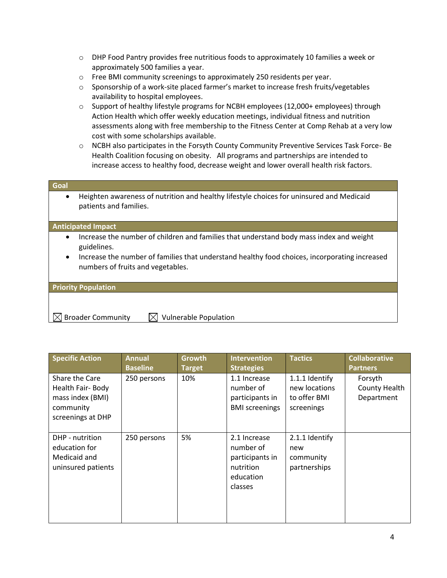- $\circ$  DHP Food Pantry provides free nutritious foods to approximately 10 families a week or approximately 500 families a year.
- o Free BMI community screenings to approximately 250 residents per year.
- o Sponsorship of a work-site placed farmer's market to increase fresh fruits/vegetables availability to hospital employees.
- o Support of healthy lifestyle programs for NCBH employees (12,000+ employees) through Action Health which offer weekly education meetings, individual fitness and nutrition assessments along with free membership to the Fitness Center at Comp Rehab at a very low cost with some scholarships available.
- o NCBH also participates in the Forsyth County Community Preventive Services Task Force- Be Health Coalition focusing on obesity. All programs and partnerships are intended to increase access to healthy food, decrease weight and lower overall health risk factors.

| Goal |                                                                                                                    |
|------|--------------------------------------------------------------------------------------------------------------------|
|      | Heighten awareness of nutrition and healthy lifestyle choices for uninsured and Medicaid<br>patients and families. |

#### **Anticipated Impact**

- Increase the number of children and families that understand body mass index and weight guidelines.
- Increase the number of families that understand healthy food choices, incorporating increased numbers of fruits and vegetables.

**Priority Population**

 $\boxtimes$  Broader Community  $\boxtimes$  Vulnerable Population

| <b>Specific Action</b>                                                                   | <b>Annual</b><br><b>Baseline</b> | Growth<br><b>Target</b> | <b>Intervention</b><br><b>Strategies</b>                                          | <b>Tactics</b>                                                | <b>Collaborative</b><br><b>Partners</b> |
|------------------------------------------------------------------------------------------|----------------------------------|-------------------------|-----------------------------------------------------------------------------------|---------------------------------------------------------------|-----------------------------------------|
| Share the Care<br>Health Fair-Body<br>mass index (BMI)<br>community<br>screenings at DHP | 250 persons                      | 10%                     | 1.1 Increase<br>number of<br>participants in<br><b>BMI</b> screenings             | 1.1.1 Identify<br>new locations<br>to offer BMI<br>screenings | Forsyth<br>County Health<br>Department  |
| DHP - nutrition<br>education for<br>Medicaid and<br>uninsured patients                   | 250 persons                      | 5%                      | 2.1 Increase<br>number of<br>participants in<br>nutrition<br>education<br>classes | 2.1.1 Identify<br>new<br>community<br>partnerships            |                                         |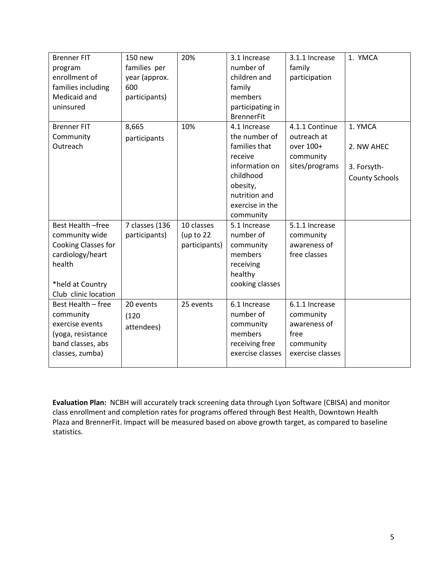| <b>Brenner FIT</b><br>program<br>enrollment of<br>families including<br>Medicaid and<br>uninsured                                    | 150 new<br>families per<br>year (approx.<br>600<br>participants) | 20%                                      | 3.1 Increase<br>number of<br>children and<br>family<br>members<br>participating in<br><b>BrennerFit</b> | 3.1.1 Increase<br>family<br>participation                                            | 1. YMCA                              |
|--------------------------------------------------------------------------------------------------------------------------------------|------------------------------------------------------------------|------------------------------------------|---------------------------------------------------------------------------------------------------------|--------------------------------------------------------------------------------------|--------------------------------------|
| <b>Brenner FIT</b><br>Community<br>Outreach                                                                                          | 8,665<br>participants                                            | 10%                                      | 4.1 Increase<br>the number of<br>families that                                                          | 4.1.1 Continue<br>outreach at<br>over 100+                                           | 1. YMCA<br>2. NW AHEC                |
|                                                                                                                                      |                                                                  |                                          | receive<br>information on<br>childhood<br>obesity,<br>nutrition and<br>exercise in the<br>community     | community<br>sites/programs                                                          | 3. Forsyth-<br><b>County Schools</b> |
| Best Health -free<br>community wide<br>Cooking Classes for<br>cardiology/heart<br>health<br>*held at Country<br>Club clinic location | 7 classes (136<br>participants)                                  | 10 classes<br>(up to 22<br>participants) | 5.1 Increase<br>number of<br>community<br>members<br>receiving<br>healthy<br>cooking classes            | 5.1.1 Increase<br>community<br>awareness of<br>free classes                          |                                      |
| Best Health - free<br>community<br>exercise events<br>(yoga, resistance<br>band classes, abs<br>classes, zumba)                      | 20 events<br>(120)<br>attendees)                                 | 25 events                                | 6.1 Increase<br>number of<br>community<br>members<br>receiving free<br>exercise classes                 | 6.1.1 Increase<br>community<br>awareness of<br>free<br>community<br>exercise classes |                                      |

**Evaluation Plan:** NCBH will accurately track screening data through Lyon Software (CBISA) and monitor class enrollment and completion rates for programs offered through Best Health, Downtown Health Plaza and BrennerFit. Impact will be measured based on above growth target, as compared to baseline statistics.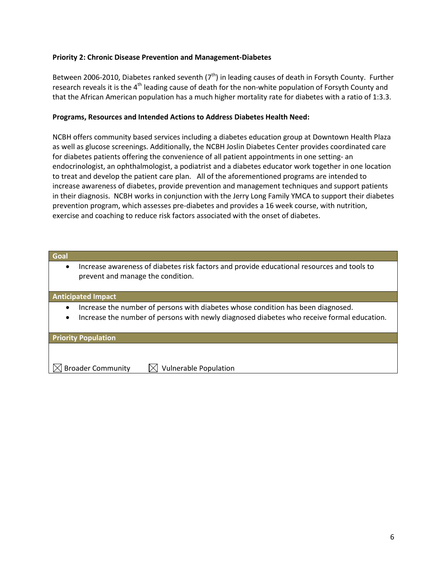## **Priority 2: Chronic Disease Prevention and Management-Diabetes**

Between 2006-2010, Diabetes ranked seventh ( $7<sup>th</sup>$ ) in leading causes of death in Forsyth County. Further research reveals it is the  $4<sup>th</sup>$  leading cause of death for the non-white population of Forsyth County and that the African American population has a much higher mortality rate for diabetes with a ratio of 1:3.3.

## **Programs, Resources and Intended Actions to Address Diabetes Health Need:**

NCBH offers community based services including a diabetes education group at Downtown Health Plaza as well as glucose screenings. Additionally, the NCBH Joslin Diabetes Center provides coordinated care for diabetes patients offering the convenience of all patient appointments in one setting- an endocrinologist, an ophthalmologist, a podiatrist and a diabetes educator work together in one location to treat and develop the patient care plan. All of the aforementioned programs are intended to increase awareness of diabetes, provide prevention and management techniques and support patients in their diagnosis. NCBH works in conjunction with the Jerry Long Family YMCA to support their diabetes prevention program, which assesses pre-diabetes and provides a 16 week course, with nutrition, exercise and coaching to reduce risk factors associated with the onset of diabetes.

| Goal                                                                                                                                                                                                     |                                                                                                                                 |  |  |  |
|----------------------------------------------------------------------------------------------------------------------------------------------------------------------------------------------------------|---------------------------------------------------------------------------------------------------------------------------------|--|--|--|
| $\bullet$                                                                                                                                                                                                | Increase awareness of diabetes risk factors and provide educational resources and tools to<br>prevent and manage the condition. |  |  |  |
|                                                                                                                                                                                                          | <b>Anticipated Impact</b>                                                                                                       |  |  |  |
| Increase the number of persons with diabetes whose condition has been diagnosed.<br>$\bullet$<br>Increase the number of persons with newly diagnosed diabetes who receive formal education.<br>$\bullet$ |                                                                                                                                 |  |  |  |
|                                                                                                                                                                                                          | <b>Priority Population</b>                                                                                                      |  |  |  |
|                                                                                                                                                                                                          | <b>Broader Community</b><br><b>Vulnerable Population</b>                                                                        |  |  |  |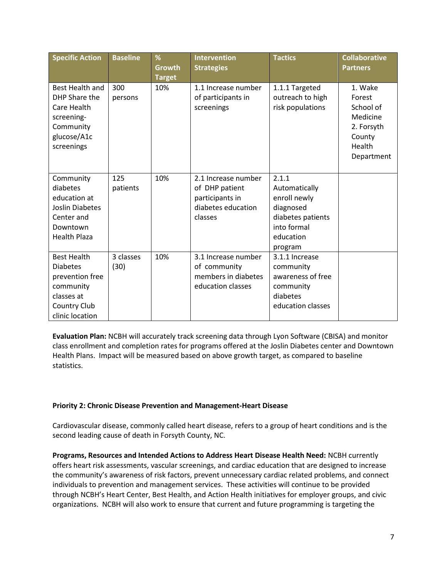| <b>Specific Action</b>                                                                                                        | <b>Baseline</b>   | %<br>Growth<br><b>Target</b> | <b>Intervention</b><br><b>Strategies</b>                                                  | <b>Tactics</b>                                                                                                  | <b>Collaborative</b><br><b>Partners</b>                                                    |
|-------------------------------------------------------------------------------------------------------------------------------|-------------------|------------------------------|-------------------------------------------------------------------------------------------|-----------------------------------------------------------------------------------------------------------------|--------------------------------------------------------------------------------------------|
| Best Health and<br>DHP Share the<br>Care Health<br>screening-<br>Community<br>glucose/A1c<br>screenings                       | 300<br>persons    | 10%                          | 1.1 Increase number<br>of participants in<br>screenings                                   | 1.1.1 Targeted<br>outreach to high<br>risk populations                                                          | 1. Wake<br>Forest<br>School of<br>Medicine<br>2. Forsyth<br>County<br>Health<br>Department |
| Community<br>diabetes<br>education at<br><b>Joslin Diabetes</b><br>Center and<br>Downtown<br><b>Health Plaza</b>              | 125<br>patients   | 10%                          | 2.1 Increase number<br>of DHP patient<br>participants in<br>diabetes education<br>classes | 2.1.1<br>Automatically<br>enroll newly<br>diagnosed<br>diabetes patients<br>into formal<br>education<br>program |                                                                                            |
| <b>Best Health</b><br><b>Diabetes</b><br>prevention free<br>community<br>classes at<br><b>Country Club</b><br>clinic location | 3 classes<br>(30) | 10%                          | 3.1 Increase number<br>of community<br>members in diabetes<br>education classes           | 3.1.1 Increase<br>community<br>awareness of free<br>community<br>diabetes<br>education classes                  |                                                                                            |

**Evaluation Plan:** NCBH will accurately track screening data through Lyon Software (CBISA) and monitor class enrollment and completion rates for programs offered at the Joslin Diabetes center and Downtown Health Plans. Impact will be measured based on above growth target, as compared to baseline statistics.

## **Priority 2: Chronic Disease Prevention and Management-Heart Disease**

Cardiovascular disease, commonly called heart disease, refers to a group of heart conditions and is the second leading cause of death in Forsyth County, NC.

**Programs, Resources and Intended Actions to Address Heart Disease Health Need:** NCBH currently offers heart risk assessments, vascular screenings, and cardiac education that are designed to increase the community's awareness of risk factors, prevent unnecessary cardiac related problems, and connect individuals to prevention and management services. These activities will continue to be provided through NCBH's Heart Center, Best Health, and Action Health initiatives for employer groups, and civic organizations. NCBH will also work to ensure that current and future programming is targeting the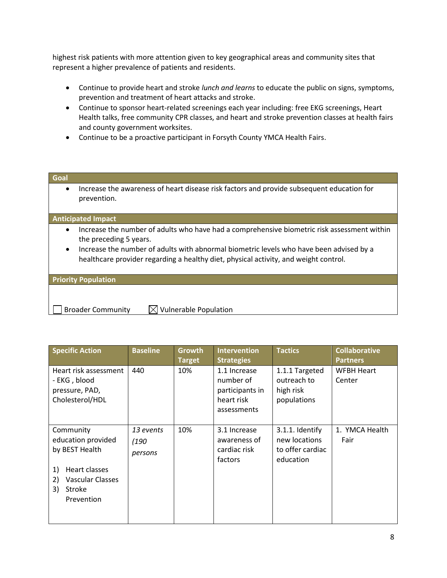highest risk patients with more attention given to key geographical areas and community sites that represent a higher prevalence of patients and residents.

- Continue to provide heart and stroke *lunch and learns* to educate the public on signs, symptoms, prevention and treatment of heart attacks and stroke.
- Continue to sponsor heart-related screenings each year including: free EKG screenings, Heart Health talks, free community CPR classes, and heart and stroke prevention classes at health fairs and county government worksites.
- Continue to be a proactive participant in Forsyth County YMCA Health Fairs.

| Goal      |                                                                                                                                                                                 |
|-----------|---------------------------------------------------------------------------------------------------------------------------------------------------------------------------------|
| $\bullet$ | Increase the awareness of heart disease risk factors and provide subsequent education for<br>prevention.                                                                        |
|           | <b>Anticipated Impact</b>                                                                                                                                                       |
| $\bullet$ | Increase the number of adults who have had a comprehensive biometric risk assessment within<br>the preceding 5 years.                                                           |
| $\bullet$ | Increase the number of adults with abnormal biometric levels who have been advised by a<br>healthcare provider regarding a healthy diet, physical activity, and weight control. |
|           | <b>Priority Population</b>                                                                                                                                                      |

Broader Community  $\Box$  Vulnerable Population

| <b>Specific Action</b>                                                                                                           | <b>Baseline</b>              | Growth<br><b>Target</b> | <b>Intervention</b><br><b>Strategies</b>                                  | <b>Tactics</b>                                                    | <b>Collaborative</b><br><b>Partners</b> |
|----------------------------------------------------------------------------------------------------------------------------------|------------------------------|-------------------------|---------------------------------------------------------------------------|-------------------------------------------------------------------|-----------------------------------------|
| Heart risk assessment<br>- EKG, blood<br>pressure, PAD,<br>Cholesterol/HDL                                                       | 440                          | 10%                     | 1.1 Increase<br>number of<br>participants in<br>heart risk<br>assessments | 1.1.1 Targeted<br>outreach to<br>high risk<br>populations         | WFBH Heart<br>Center                    |
| Community<br>education provided<br>by BEST Health<br>Heart classes<br>1)<br>Vascular Classes<br>2)<br>3)<br>Stroke<br>Prevention | 13 events<br>(190<br>persons | 10%                     | 3.1 Increase<br>awareness of<br>cardiac risk<br>factors                   | 3.1.1. Identify<br>new locations<br>to offer cardiac<br>education | 1. YMCA Health<br>Fair                  |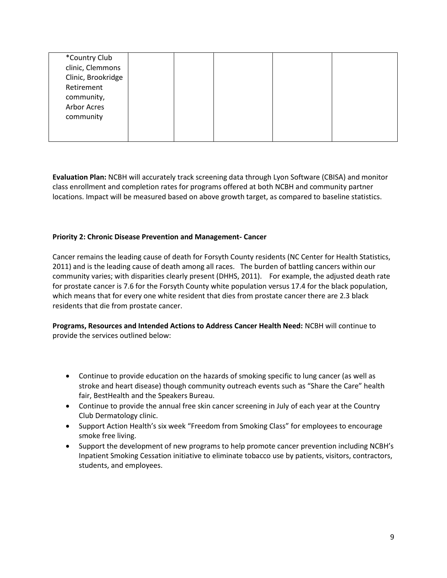| *Country Club      |  |  |  |
|--------------------|--|--|--|
| clinic, Clemmons   |  |  |  |
| Clinic, Brookridge |  |  |  |
| Retirement         |  |  |  |
| community,         |  |  |  |
| Arbor Acres        |  |  |  |
| community          |  |  |  |
|                    |  |  |  |
|                    |  |  |  |

**Evaluation Plan:** NCBH will accurately track screening data through Lyon Software (CBISA) and monitor class enrollment and completion rates for programs offered at both NCBH and community partner locations. Impact will be measured based on above growth target, as compared to baseline statistics.

## **Priority 2: Chronic Disease Prevention and Management- Cancer**

Cancer remains the leading cause of death for Forsyth County residents (NC Center for Health Statistics, 2011) and is the leading cause of death among all races. The burden of battling cancers within our community varies; with disparities clearly present (DHHS, 2011). For example, the adjusted death rate for prostate cancer is 7.6 for the Forsyth County white population versus 17.4 for the black population, which means that for every one white resident that dies from prostate cancer there are 2.3 black residents that die from prostate cancer.

**Programs, Resources and Intended Actions to Address Cancer Health Need:** NCBH will continue to provide the services outlined below:

- Continue to provide education on the hazards of smoking specific to lung cancer (as well as stroke and heart disease) though community outreach events such as "Share the Care" health fair, BestHealth and the Speakers Bureau.
- Continue to provide the annual free skin cancer screening in July of each year at the Country Club Dermatology clinic.
- Support Action Health's six week "Freedom from Smoking Class" for employees to encourage smoke free living.
- Support the development of new programs to help promote cancer prevention including NCBH's Inpatient Smoking Cessation initiative to eliminate tobacco use by patients, visitors, contractors, students, and employees.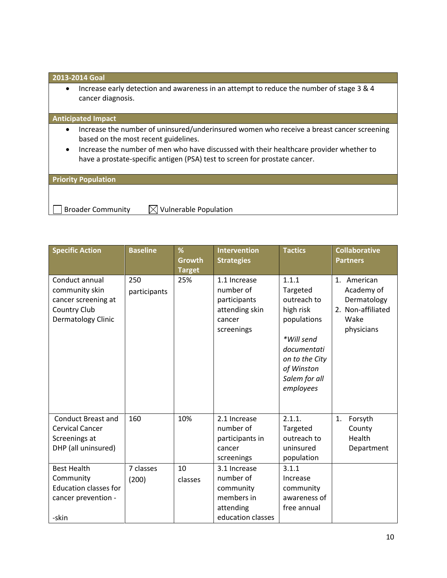## **2013-2014 Goal**

• Increase early detection and awareness in an attempt to reduce the number of stage 3 & 4 cancer diagnosis.

#### **Anticipated Impact**

- Increase the number of uninsured/underinsured women who receive a breast cancer screening based on the most recent guidelines.
- Increase the number of men who have discussed with their healthcare provider whether to have a prostate-specific antigen (PSA) test to screen for prostate cancer.

## **Priority Population**

Broader Community  $\Box$  Vulnerable Population

| <b>Specific Action</b>                                                                          | <b>Baseline</b>     | %<br><b>Growth</b><br><b>Target</b> | <b>Intervention</b><br><b>Strategies</b>                                               | <b>Tactics</b>                                                                                                                                          | <b>Collaborative</b><br><b>Partners</b>                                             |
|-------------------------------------------------------------------------------------------------|---------------------|-------------------------------------|----------------------------------------------------------------------------------------|---------------------------------------------------------------------------------------------------------------------------------------------------------|-------------------------------------------------------------------------------------|
| Conduct annual<br>community skin<br>cancer screening at<br>Country Club<br>Dermatology Clinic   | 250<br>participants | 25%                                 | 1.1 Increase<br>number of<br>participants<br>attending skin<br>cancer<br>screenings    | 1.1.1<br>Targeted<br>outreach to<br>high risk<br>populations<br>*Will send<br>documentati<br>on to the City<br>of Winston<br>Salem for all<br>employees | 1. American<br>Academy of<br>Dermatology<br>2. Non-affiliated<br>Wake<br>physicians |
| <b>Conduct Breast and</b><br><b>Cervical Cancer</b><br>Screenings at<br>DHP (all uninsured)     | 160                 | 10%                                 | 2.1 Increase<br>number of<br>participants in<br>cancer<br>screenings                   | 2.1.1.<br>Targeted<br>outreach to<br>uninsured<br>population                                                                                            | Forsyth<br>1.<br>County<br>Health<br>Department                                     |
| <b>Best Health</b><br>Community<br><b>Education classes for</b><br>cancer prevention -<br>-skin | 7 classes<br>(200)  | 10<br>classes                       | 3.1 Increase<br>number of<br>community<br>members in<br>attending<br>education classes | 3.1.1<br>Increase<br>community<br>awareness of<br>free annual                                                                                           |                                                                                     |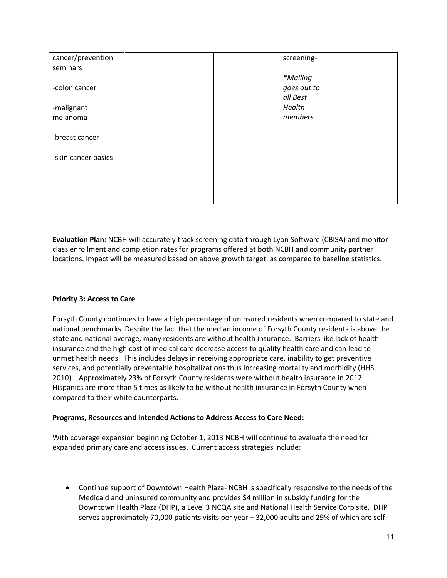| cancer/prevention<br>seminars |  | screening-  |  |
|-------------------------------|--|-------------|--|
|                               |  | *Mailing    |  |
| -colon cancer                 |  | goes out to |  |
|                               |  | all Best    |  |
| -malignant                    |  | Health      |  |
| melanoma                      |  | members     |  |
| -breast cancer                |  |             |  |
| -skin cancer basics           |  |             |  |
|                               |  |             |  |
|                               |  |             |  |
|                               |  |             |  |

**Evaluation Plan:** NCBH will accurately track screening data through Lyon Software (CBISA) and monitor class enrollment and completion rates for programs offered at both NCBH and community partner locations. Impact will be measured based on above growth target, as compared to baseline statistics.

# **Priority 3: Access to Care**

Forsyth County continues to have a high percentage of uninsured residents when compared to state and national benchmarks. Despite the fact that the median income of Forsyth County residents is above the state and national average, many residents are without health insurance. Barriers like lack of health insurance and the high cost of medical care decrease access to quality health care and can lead to unmet health needs. This includes delays in receiving appropriate care, inability to get preventive services, and potentially preventable hospitalizations thus increasing mortality and morbidity (HHS, 2010). Approximately 23% of Forsyth County residents were without health insurance in 2012. Hispanics are more than 5 times as likely to be without health insurance in Forsyth County when compared to their white counterparts.

## **Programs, Resources and Intended Actions to Address Access to Care Need:**

With coverage expansion beginning October 1, 2013 NCBH will continue to evaluate the need for expanded primary care and access issues. Current access strategies include:

 Continue support of Downtown Health Plaza- NCBH is specifically responsive to the needs of the Medicaid and uninsured community and provides \$4 million in subsidy funding for the Downtown Health Plaza (DHP), a Level 3 NCQA site and National Health Service Corp site. DHP serves approximately 70,000 patients visits per year – 32,000 adults and 29% of which are self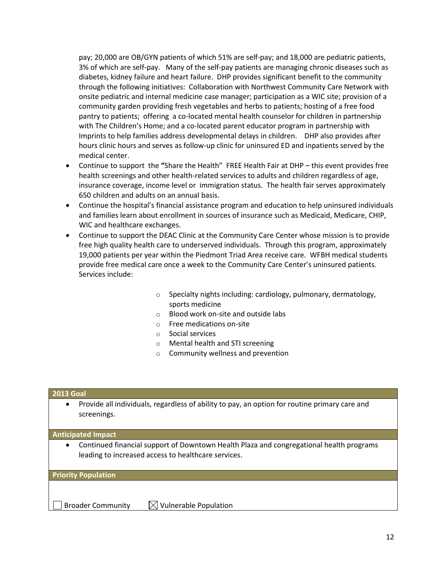pay; 20,000 are OB/GYN patients of which 51% are self-pay; and 18,000 are pediatric patients, 3% of which are self-pay. Many of the self-pay patients are managing chronic diseases such as diabetes, kidney failure and heart failure. DHP provides significant benefit to the community through the following initiatives: Collaboration with Northwest Community Care Network with onsite pediatric and internal medicine case manager; participation as a WIC site; provision of a community garden providing fresh vegetables and herbs to patients; hosting of a free food pantry to patients; offering a co-located mental health counselor for children in partnership with The Children's Home; and a co-located parent educator program in partnership with Imprints to help families address developmental delays in children. DHP also provides after hours clinic hours and serves as follow-up clinic for uninsured ED and inpatients served by the medical center.

- Continue to support the **"**Share the Health" FREE Health Fair at DHP this event provides free health screenings and other health-related services to adults and children regardless of age, insurance coverage, income level or immigration status. The health fair serves approximately 650 children and adults on an annual basis.
- Continue the hospital's financial assistance program and education to help uninsured individuals and families learn about enrollment in sources of insurance such as Medicaid, Medicare, CHIP, WIC and healthcare exchanges.
- Continue to support the DEAC Clinic at the Community Care Center whose mission is to provide free high quality health care to underserved individuals. Through this program, approximately 19,000 patients per year within the Piedmont Triad Area receive care. WFBH medical students provide free medical care once a week to the Community Care Center's uninsured patients. Services include:
	- $\circ$  Specialty nights including: cardiology, pulmonary, dermatology, sports medicine
	- o Blood work on-site and outside labs
	- o Free medications on-site
	- o Social services
	- o Mental health and STI screening
	- o Community wellness and prevention

#### **2013 Goal**

 Provide all individuals, regardless of ability to pay, an option for routine primary care and screenings.

**Anticipated Impact**

 Continued financial support of Downtown Health Plaza and congregational health programs leading to increased access to healthcare services.

#### **Priority Population**

Broader Community  $\Box$  Vulnerable Population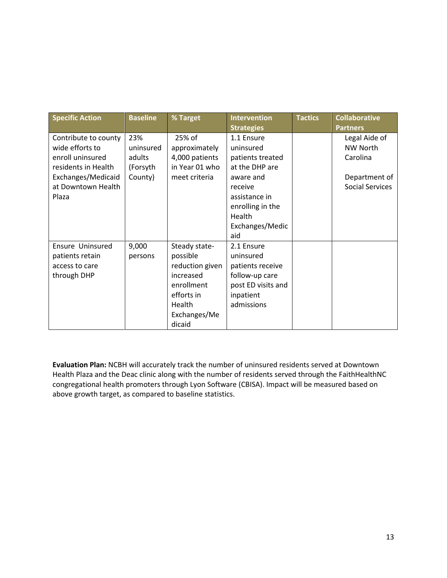| <b>Specific Action</b>                                                                                                                  | <b>Baseline</b>                                   | % Target                                                                                                                  | <b>Intervention</b>                                                                                                                                     | <b>Tactics</b> | <b>Collaborative</b>                                                             |
|-----------------------------------------------------------------------------------------------------------------------------------------|---------------------------------------------------|---------------------------------------------------------------------------------------------------------------------------|---------------------------------------------------------------------------------------------------------------------------------------------------------|----------------|----------------------------------------------------------------------------------|
|                                                                                                                                         |                                                   |                                                                                                                           | <b>Strategies</b>                                                                                                                                       |                | <b>Partners</b>                                                                  |
| Contribute to county<br>wide efforts to<br>enroll uninsured<br>residents in Health<br>Exchanges/Medicaid<br>at Downtown Health<br>Plaza | 23%<br>uninsured<br>adults<br>(Forsyth<br>County) | 25% of<br>approximately<br>4,000 patients<br>in Year 01 who<br>meet criteria                                              | 1.1 Ensure<br>uninsured<br>patients treated<br>at the DHP are<br>aware and<br>receive<br>assistance in<br>enrolling in the<br>Health<br>Exchanges/Medic |                | Legal Aide of<br><b>NW North</b><br>Carolina<br>Department of<br>Social Services |
| Ensure Uninsured<br>patients retain<br>access to care<br>through DHP                                                                    | 9,000<br>persons                                  | Steady state-<br>possible<br>reduction given<br>increased<br>enrollment<br>efforts in<br>Health<br>Exchanges/Me<br>dicaid | aid<br>2.1 Ensure<br>uninsured<br>patients receive<br>follow-up care<br>post ED visits and<br>inpatient<br>admissions                                   |                |                                                                                  |

**Evaluation Plan:** NCBH will accurately track the number of uninsured residents served at Downtown Health Plaza and the Deac clinic along with the number of residents served through the FaithHealthNC congregational health promoters through Lyon Software (CBISA). Impact will be measured based on above growth target, as compared to baseline statistics.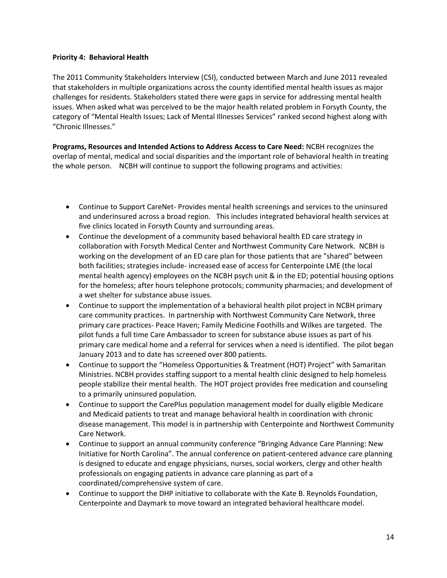## **Priority 4: Behavioral Health**

The 2011 Community Stakeholders Interview (CSI), conducted between March and June 2011 revealed that stakeholders in multiple organizations across the county identified mental health issues as major challenges for residents. Stakeholders stated there were gaps in service for addressing mental health issues. When asked what was perceived to be the major health related problem in Forsyth County, the category of "Mental Health Issues; Lack of Mental Illnesses Services" ranked second highest along with "Chronic Illnesses."

**Programs, Resources and Intended Actions to Address Access to Care Need:** NCBH recognizes the overlap of mental, medical and social disparities and the important role of behavioral health in treating the whole person. NCBH will continue to support the following programs and activities:

- Continue to Support CareNet- Provides mental health screenings and services to the uninsured and underinsured across a broad region. This includes integrated behavioral health services at five clinics located in Forsyth County and surrounding areas.
- Continue the development of a community based behavioral health ED care strategy in collaboration with Forsyth Medical Center and Northwest Community Care Network. NCBH is working on the development of an ED care plan for those patients that are "shared" between both facilities; strategies include- increased ease of access for Centerpointe LME (the local mental health agency) employees on the NCBH psych unit & in the ED; potential housing options for the homeless; after hours telephone protocols; community pharmacies; and development of a wet shelter for substance abuse issues.
- Continue to support the implementation of a behavioral health pilot project in NCBH primary care community practices. In partnership with Northwest Community Care Network, three primary care practices- Peace Haven; Family Medicine Foothills and Wilkes are targeted. The pilot funds a full time Care Ambassador to screen for substance abuse issues as part of his primary care medical home and a referral for services when a need is identified. The pilot began January 2013 and to date has screened over 800 patients.
- Continue to support the "Homeless Opportunities & Treatment (HOT) Project" with Samaritan Ministries. NCBH provides staffing support to a mental health clinic designed to help homeless people stabilize their mental health. The HOT project provides free medication and counseling to a primarily uninsured population.
- Continue to support the CarePlus population management model for dually eligible Medicare and Medicaid patients to treat and manage behavioral health in coordination with chronic disease management. This model is in partnership with Centerpointe and Northwest Community Care Network.
- Continue to support an annual community conference "Bringing Advance Care Planning: New Initiative for North Carolina". The annual conference on patient-centered advance care planning is designed to educate and engage physicians, nurses, social workers, clergy and other health professionals on engaging patients in advance care planning as part of a coordinated/comprehensive system of care.
- Continue to support the DHP initiative to collaborate with the Kate B. Reynolds Foundation, Centerpointe and Daymark to move toward an integrated behavioral healthcare model.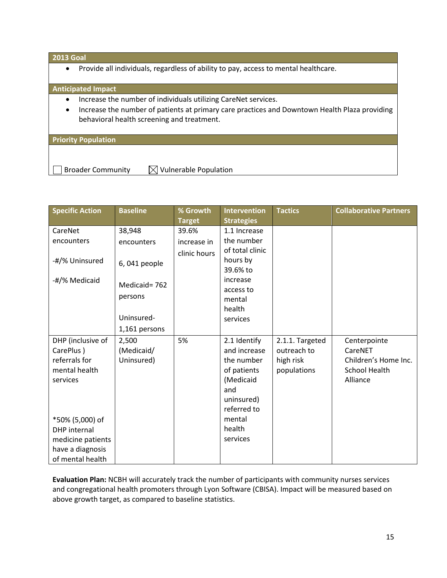## **2013 Goal**

Provide all individuals, regardless of ability to pay, access to mental healthcare.

## **Anticipated Impact**

- Increase the number of individuals utilizing CareNet services.
- Increase the number of patients at primary care practices and Downtown Health Plaza providing behavioral health screening and treatment.

#### **Priority Population**

Broader Community  $\Box$  Vulnerable Population

| <b>Specific Action</b>                                                                                                                                                              | <b>Baseline</b>                                                               | % Growth<br><b>Target</b>            | <b>Intervention</b><br><b>Strategies</b>                                                                                                   | <b>Tactics</b>                                             | <b>Collaborative Partners</b>                                                |
|-------------------------------------------------------------------------------------------------------------------------------------------------------------------------------------|-------------------------------------------------------------------------------|--------------------------------------|--------------------------------------------------------------------------------------------------------------------------------------------|------------------------------------------------------------|------------------------------------------------------------------------------|
| CareNet<br>encounters<br>-#/% Uninsured<br>-#/% Medicaid                                                                                                                            | 38,948<br>encounters<br>6,041 people<br>Medicaid=762<br>persons<br>Uninsured- | 39.6%<br>increase in<br>clinic hours | 1.1 Increase<br>the number<br>of total clinic<br>hours by<br>39.6% to<br>increase<br>access to<br>mental<br>health<br>services             |                                                            |                                                                              |
| DHP (inclusive of<br>CarePlus)<br>referrals for<br>mental health<br>services<br>*50% (5,000) of<br><b>DHP</b> internal<br>medicine patients<br>have a diagnosis<br>of mental health | 1,161 persons<br>2,500<br>(Medicaid/<br>Uninsured)                            | 5%                                   | 2.1 Identify<br>and increase<br>the number<br>of patients<br>(Medicaid<br>and<br>uninsured)<br>referred to<br>mental<br>health<br>services | 2.1.1. Targeted<br>outreach to<br>high risk<br>populations | Centerpointe<br>CareNET<br>Children's Home Inc.<br>School Health<br>Alliance |

**Evaluation Plan:** NCBH will accurately track the number of participants with community nurses services and congregational health promoters through Lyon Software (CBISA). Impact will be measured based on above growth target, as compared to baseline statistics.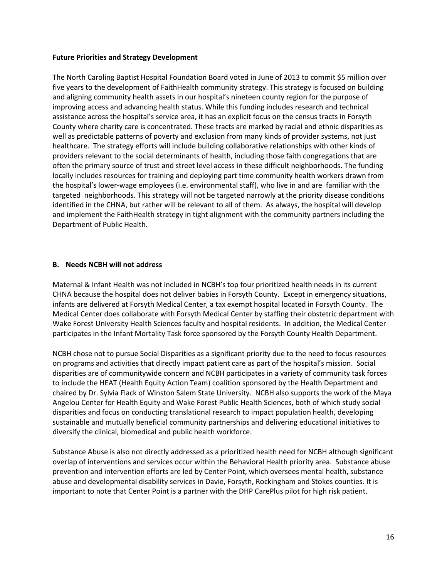## **Future Priorities and Strategy Development**

The North Caroling Baptist Hospital Foundation Board voted in June of 2013 to commit \$5 million over five years to the development of FaithHealth community strategy. This strategy is focused on building and aligning community health assets in our hospital's nineteen county region for the purpose of improving access and advancing health status. While this funding includes research and technical assistance across the hospital's service area, it has an explicit focus on the census tracts in Forsyth County where charity care is concentrated. These tracts are marked by racial and ethnic disparities as well as predictable patterns of poverty and exclusion from many kinds of provider systems, not just healthcare. The strategy efforts will include building collaborative relationships with other kinds of providers relevant to the social determinants of health, including those faith congregations that are often the primary source of trust and street level access in these difficult neighborhoods. The funding locally includes resources for training and deploying part time community health workers drawn from the hospital's lower-wage employees (i.e. environmental staff), who live in and are familiar with the targeted neighborhoods. This strategy will not be targeted narrowly at the priority disease conditions identified in the CHNA, but rather will be relevant to all of them. As always, the hospital will develop and implement the FaithHealth strategy in tight alignment with the community partners including the Department of Public Health.

## **B. Needs NCBH will not address**

Maternal & Infant Health was not included in NCBH's top four prioritized health needs in its current CHNA because the hospital does not deliver babies in Forsyth County. Except in emergency situations, infants are delivered at Forsyth Medical Center, a tax exempt hospital located in Forsyth County. The Medical Center does collaborate with Forsyth Medical Center by staffing their obstetric department with Wake Forest University Health Sciences faculty and hospital residents. In addition, the Medical Center participates in the Infant Mortality Task force sponsored by the Forsyth County Health Department.

NCBH chose not to pursue Social Disparities as a significant priority due to the need to focus resources on programs and activities that directly impact patient care as part of the hospital's mission. Social disparities are of communitywide concern and NCBH participates in a variety of community task forces to include the HEAT (Health Equity Action Team) coalition sponsored by the Health Department and chaired by Dr. Sylvia Flack of Winston Salem State University. NCBH also supports the work of the Maya Angelou Center for Health Equity and Wake Forest Public Health Sciences, both of which study social disparities and focus on conducting translational research to impact population health, developing sustainable and mutually beneficial community partnerships and delivering educational initiatives to diversify the clinical, biomedical and public health workforce.

Substance Abuse is also not directly addressed as a prioritized health need for NCBH although significant overlap of interventions and services occur within the Behavioral Health priority area. Substance abuse prevention and intervention efforts are led by Center Point, which oversees mental health, substance abuse and developmental disability services in Davie, Forsyth, Rockingham and Stokes counties. It is important to note that Center Point is a partner with the DHP CarePlus pilot for high risk patient.